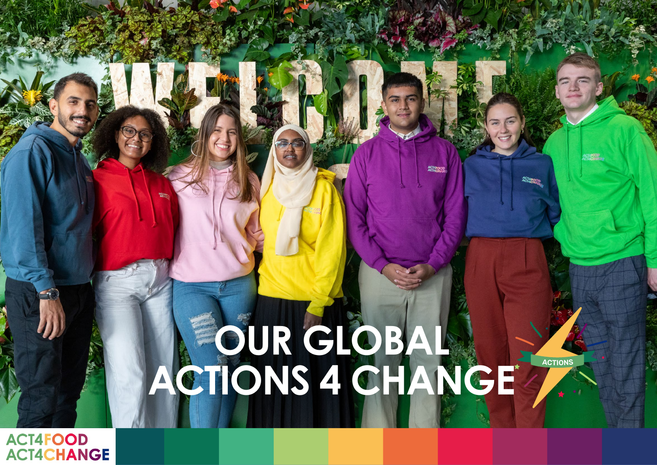## **OUR GLOBAL ACTIONS 4 CHANGE**

ACTIONS

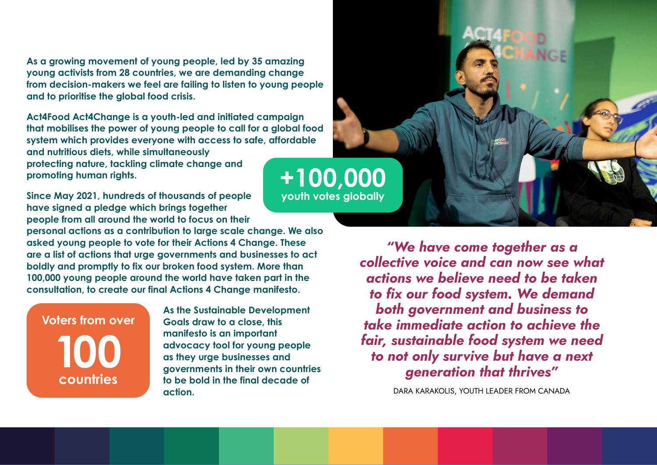**As a growing movement of young people, led by 35 amazing young activists from 28 countries, we are demanding change from decision-makers we feel are failing to listen to young people and to prioritise the global food crisis.**

**Act4Food Act4Change is a youth-led and initiated campaign that mobilises the power of young people to call for a global food system which provides everyone with access to safe, affordable and nutritious diets, while simultaneously protecting nature, tackling climate change and promoting human rights.** 

**Since May 2021, hundreds of thousands of people have signed a pledge which brings together people from all around the world to focus on their personal actions as a contribution to large scale change. We also asked young people to vote for their Actions 4 Change. These are a list of actions that urge governments and businesses to act boldly and promptly to fix our broken food system. More than 100,000 young people around the world have taken part in the consultation, to create our final Actions 4 Change manifesto.** 

**Voters from over 100 countries**

**As the Sustainable Development Goals draw to a close, this manifesto is an important advocacy tool for young people as they urge businesses and governments in their own countries to be bold in the final decade of action.**



*"We have come together as a collective voice and can now see what actions we believe need to be taken to fix our food system. We demand both government and business to take immediate action to achieve the fair, sustainable food system we need to not only survive but have a next generation that thrives"*

DARA KARAKOLIS, YOUTH LEADER FROM CANADA